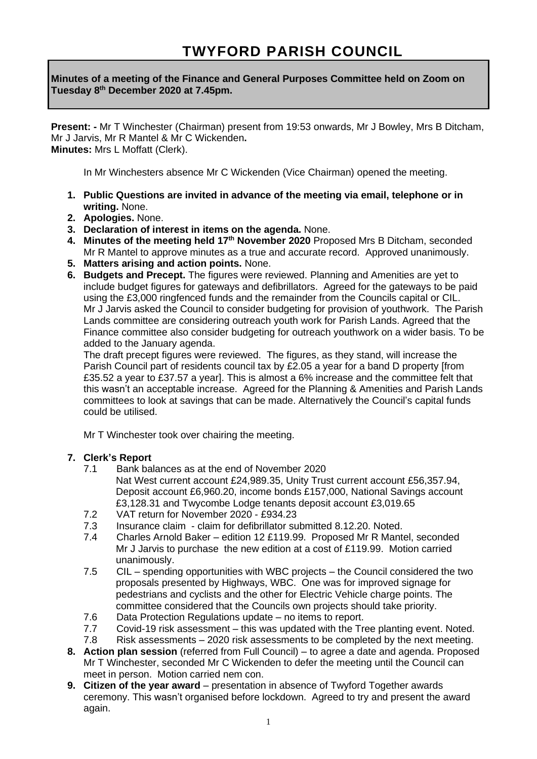**Minutes of a meeting of the Finance and General Purposes Committee held on Zoom on Tuesday 8 th December 2020 at 7.45pm.**

**Present: -** Mr T Winchester (Chairman) present from 19:53 onwards, Mr J Bowley, Mrs B Ditcham, Mr J Jarvis, Mr R Mantel & Mr C Wickenden**. Minutes:** Mrs L Moffatt (Clerk).

In Mr Winchesters absence Mr C Wickenden (Vice Chairman) opened the meeting.

- **1. Public Questions are invited in advance of the meeting via email, telephone or in writing.** None.
- **2. Apologies.** None.
- **3. Declaration of interest in items on the agenda.** None.
- **4. Minutes of the meeting held 17th November 2020** Proposed Mrs B Ditcham, seconded Mr R Mantel to approve minutes as a true and accurate record. Approved unanimously.
- **5. Matters arising and action points.** None.
- **6. Budgets and Precept.** The figures were reviewed. Planning and Amenities are yet to include budget figures for gateways and defibrillators. Agreed for the gateways to be paid using the £3,000 ringfenced funds and the remainder from the Councils capital or CIL. Mr J Jarvis asked the Council to consider budgeting for provision of youthwork. The Parish Lands committee are considering outreach youth work for Parish Lands. Agreed that the Finance committee also consider budgeting for outreach youthwork on a wider basis. To be added to the January agenda.

The draft precept figures were reviewed. The figures, as they stand, will increase the Parish Council part of residents council tax by £2.05 a year for a band D property [from £35.52 a year to £37.57 a year]. This is almost a 6% increase and the committee felt that this wasn't an acceptable increase. Agreed for the Planning & Amenities and Parish Lands committees to look at savings that can be made. Alternatively the Council's capital funds could be utilised.

Mr T Winchester took over chairing the meeting.

## **7. Clerk's Report**

- 7.1 Bank balances as at the end of November 2020 Nat West current account £24,989.35, Unity Trust current account £56,357.94, Deposit account £6,960.20, income bonds £157,000, National Savings account £3,128.31 and Twycombe Lodge tenants deposit account £3,019.65
- 7.2 VAT return for November 2020 £934.23
- 7.3 Insurance claim claim for defibrillator submitted 8.12.20. Noted.
- 7.4Charles Arnold Baker edition 12 £119.99. Proposed Mr R Mantel, seconded Mr J Jarvis to purchase the new edition at a cost of £119.99. Motion carried unanimously.
- 7.5CIL spending opportunities with WBC projects the Council considered the two proposals presented by Highways, WBC. One was for improved signage for pedestrians and cyclists and the other for Electric Vehicle charge points. The committee considered that the Councils own projects should take priority.
- 7.6 Data Protection Regulations update no items to report.
- 7.7Covid-19 risk assessment this was updated with the Tree planting event. Noted.
- 7.8 Risk assessments 2020 risk assessments to be completed by the next meeting.
- **8. Action plan session** (referred from Full Council) to agree a date and agenda. Proposed Mr T Winchester, seconded Mr C Wickenden to defer the meeting until the Council can meet in person. Motion carried nem con.
- **9. Citizen of the year award** presentation in absence of Twyford Together awards ceremony. This wasn't organised before lockdown. Agreed to try and present the award again.